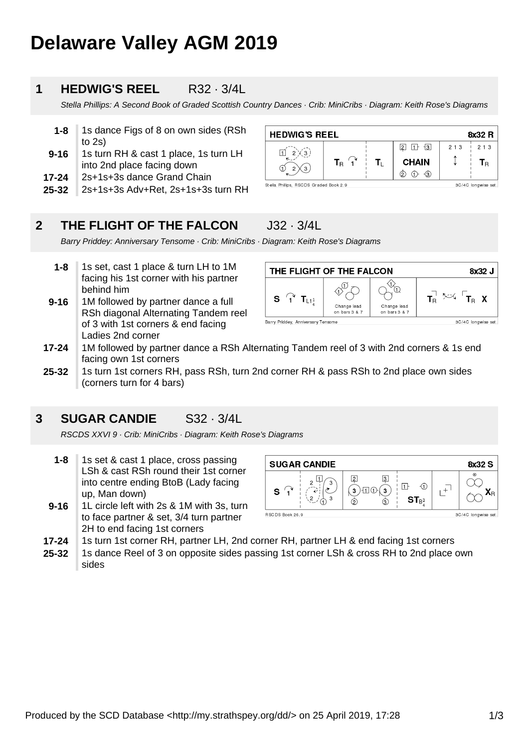# **Delaware Valley AGM 2019**

## **1 HEDWIG'S REEL** R32 · 3/4L

Stella Phillips: A Second Book of Graded Scottish Country Dances · Crib: MiniCribs · Diagram: Keith Rose's Diagrams

- **1-8** 1s dance Figs of 8 on own sides (RSh to 2s)
- **9-16** 1s turn RH & cast 1 place, 1s turn LH into 2nd place facing down
- **17-24** 2s+1s+3s dance Grand Chain
- **25-32** 2s+1s+3s Adv+Ret, 2s+1s+3s turn RH

| <b>HEDWIG'S REEL</b><br>8x32 R                                |                       |  |                                         |       |                           |  |
|---------------------------------------------------------------|-----------------------|--|-----------------------------------------|-------|---------------------------|--|
|                                                               |                       |  | $\lceil 3 \rceil$<br>$\vert$ 2<br>$11+$ | 2 1 3 | 2 1 3                     |  |
| $\mathcal{L}$                                                 | $\mathbf{T}_\text{B}$ |  | <b>CHAIN</b>                            |       | ${\mathbf T}_{\mathsf R}$ |  |
| G<br>◠                                                        |                       |  | $\lnot$ 3<br>2                          |       |                           |  |
| Stella Phillips, RSCDS Graded Book 2.9<br>3C/4C longwise set. |                       |  |                                         |       |                           |  |

#### **2 THE FLIGHT OF THE FALCON** J32 · 3/4L

Barry Priddey: Anniversary Tensome · Crib: MiniCribs · Diagram: Keith Rose's Diagrams

- **1-8** 1s set, cast 1 place & turn LH to 1M facing his 1st corner with his partner behind him
- **9-16** 1M followed by partner dance a full RSh diagonal Alternating Tandem reel of 3 with 1st corners & end facing Ladies 2nd corner



- **17-24** 1M followed by partner dance a RSh Alternating Tandem reel of 3 with 2nd corners & 1s end facing own 1st corners
- **25-32** 1s turn 1st corners RH, pass RSh, turn 2nd corner RH & pass RSh to 2nd place own sides (corners turn for 4 bars)

## **3 SUGAR CANDIE** S32 · 3/4L

RSCDS XXVI 9 · Crib: MiniCribs · Diagram: Keith Rose's Diagrams

- **1-8** 1s set & cast 1 place, cross passing LSh & cast RSh round their 1st corner into centre ending BtoB (Lady facing up, Man down)
- **9-16** 1L circle left with 2s & 1M with 3s, turn to face partner & set, 3/4 turn partner 2H to end facing 1st corners



- **17-24** 1s turn 1st corner RH, partner LH, 2nd corner RH, partner LH & end facing 1st corners
- **25-32** 1s dance Reel of 3 on opposite sides passing 1st corner LSh & cross RH to 2nd place own sides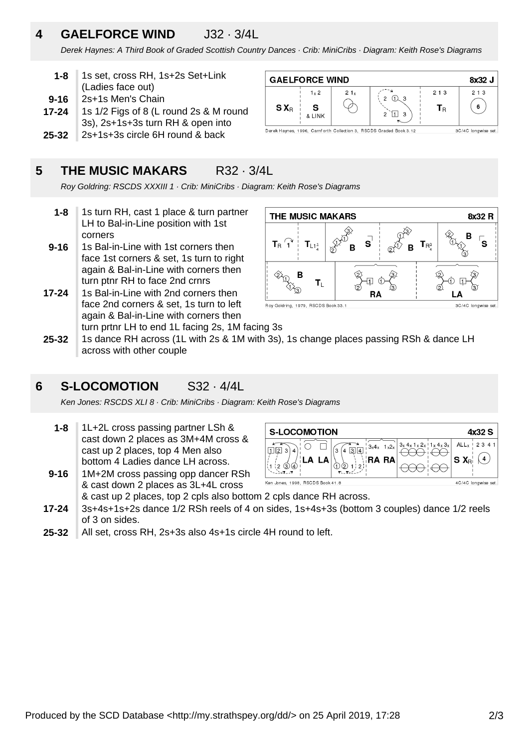# **4 GAELFORCE WIND** J32 · 3/4L

Derek Haynes: A Third Book of Graded Scottish Country Dances · Crib: MiniCribs · Diagram: Keith Rose's Diagrams

 $S X_{B}$ 

**GAELFORCE WIND** 

 $1 \times 2$ 

 $\mathbf{S}$ 

**& LINK** 

 $21x$ 

Д

Derek Haynes, 1996, Carnforth Collection 3, RSCDS Graded Book 3.12

- **1-8** 1s set, cross RH, 1s+2s Set+Link (Ladies face out)
- **9-16** 2s+1s Men's Chain
- **17-24** 1s 1/2 Figs of 8 (L round 2s & M round 3s), 2s+1s+3s turn RH & open into
- 
- **25-32** 2s+1s+3s circle 6H round & back

# **5 THE MUSIC MAKARS** R32 · 3/4L

Roy Goldring: RSCDS XXXIII 1 · Crib: MiniCribs · Diagram: Keith Rose's Diagrams

- **1-8** 1s turn RH, cast 1 place & turn partner LH to Bal-in-Line position with 1st corners
- **9-16** 1s Bal-in-Line with 1st corners then face 1st corners & set, 1s turn to right again & Bal-in-Line with corners then turn ptnr RH to face 2nd crnrs
- **17-24** 1s Bal-in-Line with 2nd corners then face 2nd corners & set, 1s turn to left again & Bal-in-Line with corners then turn prtnr LH to end 1L facing 2s, 1M facing 3s



 $2 \Omega$ 

 $113$  $\overline{c}$ 



3C/4C longwise set

8x32 J

 $213$ 

6

3C/4C longwise set

 $213$ 

 $T_{\rm R}$ 

**25-32** 1s dance RH across (1L with 2s & 1M with 3s), 1s change places passing RSh & dance LH across with other couple

## **6 S-LOCOMOTION** S32 · 4/4L

Ken Jones: RSCDS XLI 8 · Crib: MiniCribs · Diagram: Keith Rose's Diagrams

- **1-8** 1L+2L cross passing partner LSh & cast down 2 places as 3M+4M cross & cast up 2 places, top 4 Men also bottom 4 Ladies dance LH across.
- **9-16** 1M+2M cross passing opp dancer RSh & cast down 2 places as 3L+4L cross



- **17-24** & cast up 2 places, top 2 cpls also bottom 2 cpls dance RH across. 3s+4s+1s+2s dance 1/2 RSh reels of 4 on sides, 1s+4s+3s (bottom 3 couples) dance 1/2 reels of 3 on sides.
- **25-32** All set, cross RH, 2s+3s also 4s+1s circle 4H round to left.